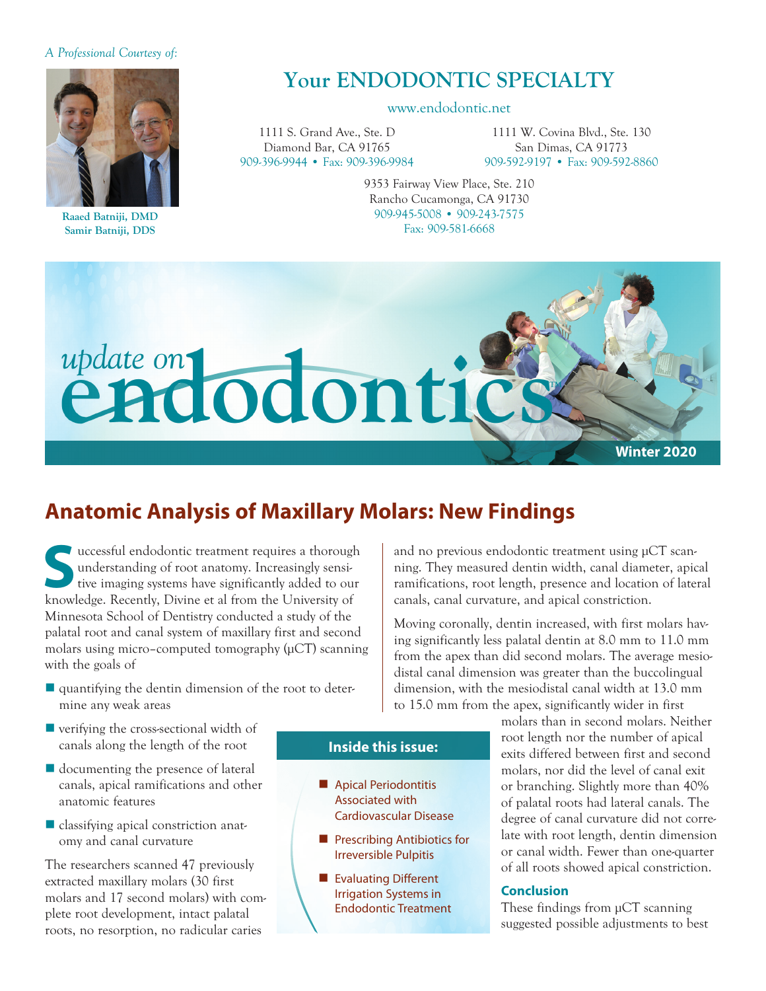### *A Professional Courtesy of:*



**Raaed Batniji, DMD Samir Batniji, DDS**

# **Your ENDODONTIC SPECIALTY**

#### www.endodontic.net

1111 S. Grand Ave., Ste. D Diamond Bar, CA 91765 909-396-9944 • Fax: 909-396-9984

1111 W. Covina Blvd., Ste. 130 San Dimas, CA 91773 909-592-9197 • Fax: 909-592-8860

9353 Fairway View Place, Ste. 210 Rancho Cucamonga, CA 91730 909-945-5008 • 909-243-7575 Fax: 909-581-6668



## **Anatomic Analysis of Maxillary Molars: New Findings**

**S**uccessful endodontic treatment requires a thorough understanding of root anatomy. Increasingly sensitive imaging systems have significantly added to our knowledge. Recently, Divine et al from the University of Minnesota School of Dentistry conducted a study of the palatal root and canal system of maxillary first and second molars using micro–computed tomography (μCT) scanning with the goals of

quantifying the dentin dimension of the root to determine any weak areas

and no previous endodontic treatment using µCT scanning. They measured dentin width, canal diameter, apical ramifications, root length, presence and location of lateral canals, canal curvature, and apical constriction.

Moving coronally, dentin increased, with first molars having significantly less palatal dentin at 8.0 mm to 11.0 mm from the apex than did second molars. The average mesiodistal canal dimension was greater than the buccolingual dimension, with the mesiodistal canal width at 13.0 mm to 15.0 mm from the apex, significantly wider in first

- $\blacksquare$  verifying the cross-sectional width of canals along the length of the root
- $\blacksquare$  documenting the presence of lateral canals, apical ramifications and other anatomic features
- $\blacksquare$  classifying apical constriction anatomy and canal curvature

The researchers scanned 47 previously extracted maxillary molars (30 first molars and 17 second molars) with complete root development, intact palatal roots, no resorption, no radicular caries

### **Inside this issue:**

- **n** Apical Periodontitis Associated with Cardiovascular Disease
- **n** Prescribing Antibiotics for Irreversible Pulpitis
- **n** Evaluating Different Irrigation Systems in Endodontic Treatment

molars than in second molars. Neither root length nor the number of apical exits differed between first and second molars, nor did the level of canal exit or branching. Slightly more than 40% of palatal roots had lateral canals. The degree of canal curvature did not correlate with root length, dentin dimension or canal width. Fewer than one-quarter of all roots showed apical constriction.

#### **Conclusion**

These findings from  $\mu$ CT scanning suggested possible adjustments to best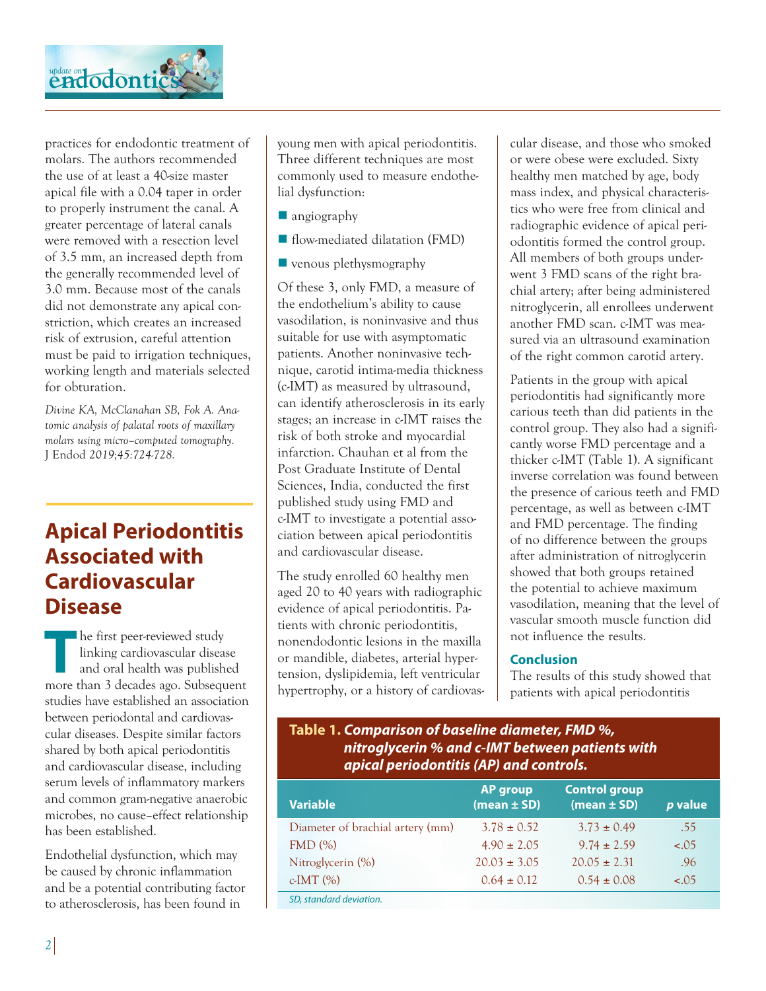

practices for endodontic treatment of molars. The authors recommended the use of at least a 40-size master apical file with a 0.04 taper in order to properly instrument the canal. A greater percentage of lateral canals were removed with a resection level of 3.5 mm, an increased depth from the generally recommended level of 3.0 mm. Because most of the canals did not demonstrate any apical constriction, which creates an increased risk of extrusion, careful attention must be paid to irrigation techniques, working length and materials selected for obturation.

*Divine KA, McClanahan SB, Fok A. Anatomic analysis of palatal roots of maxillary molars using micro–computed tomography.*  J Endod *2019;45:724-728.*

# **Apical Periodontitis Associated with Cardiovascular Disease**

**The first peer-reviewed study<br>
linking cardiovascular disease<br>
and oral health was published<br>
more than 3 decedes are Subsequent** linking cardiovascular disease more than 3 decades ago. Subsequent studies have established an association between periodontal and cardiovascular diseases. Despite similar factors shared by both apical periodontitis and cardiovascular disease, including serum levels of inflammatory markers and common gram-negative anaerobic microbes, no cause–effect relationship has been established.

Endothelial dysfunction, which may be caused by chronic inflammation and be a potential contributing factor to atherosclerosis, has been found in

young men with apical periodontitis. Three different techniques are most commonly used to measure endothelial dysfunction:

- $\blacksquare$  angiography
- flow-mediated dilatation (FMD)
- $\blacksquare$  venous plethysmography

Of these 3, only FMD, a measure of the endothelium's ability to cause vasodilation, is noninvasive and thus suitable for use with asymptomatic patients. Another noninvasive technique, carotid intima-media thickness (c-IMT) as measured by ultrasound, can identify atherosclerosis in its early stages; an increase in c-IMT raises the risk of both stroke and myocardial infarction. Chauhan et al from the Post Graduate Institute of Dental Sciences, India, conducted the first published study using FMD and c-IMT to investigate a potential association between apical periodontitis and cardiovascular disease.

The study enrolled 60 healthy men aged 20 to 40 years with radiographic evidence of apical periodontitis. Patients with chronic periodontitis, non endodontic lesions in the maxilla or mandible, diabetes, arterial hypertension, dyslipidemia, left ventricular hypertrophy, or a history of cardiovascular disease, and those who smoked or were obese were excluded. Sixty healthy men matched by age, body mass index, and physical characteristics who were free from clinical and radiographic evidence of apical periodontitis formed the control group. All members of both groups underwent 3 FMD scans of the right brachial artery; after being administered nitroglycerin, all enrollees underwent another FMD scan. c-IMT was measured via an ultrasound examination of the right common carotid artery.

Patients in the group with apical periodontitis had significantly more carious teeth than did patients in the control group. They also had a significantly worse FMD percentage and a thicker c-IMT (Table 1). A significant inverse correlation was found between the presence of carious teeth and FMD percentage, as well as between c-IMT and FMD percentage. The finding of no difference between the groups after administration of nitroglycerin showed that both groups retained the potential to achieve maximum vasodilation, meaning that the level of vascular smooth muscle function did not influence the results.

### **Conclusion**

The results of this study showed that patients with apical periodontitis

## **Table 1.** *Comparison of baseline diameter, FMD %, nitroglycerin % and c-IMT between patients with apical periodontitis (AP) and controls.*

| <b>Variable</b>                  | <b>AP group</b><br>(mean $\pm$ SD) | <b>Control group</b><br>(mean $\pm$ SD) | p value |
|----------------------------------|------------------------------------|-----------------------------------------|---------|
| Diameter of brachial artery (mm) | $3.78 \pm 0.52$                    | $3.73 \pm 0.49$                         | .55     |
| FMD(%)                           | $4.90 \pm 2.05$                    | $9.74 \pm 2.59$                         | $-.05$  |
| Nitroglycerin (%)                | $20.03 \pm 3.05$                   | $20.05 \pm 2.31$                        | .96     |
| $c$ -IMT $(\%)$                  | $0.64 \pm 0.12$                    | $0.54 \pm 0.08$                         | $-.05$  |
| SD, standard deviation.          |                                    |                                         |         |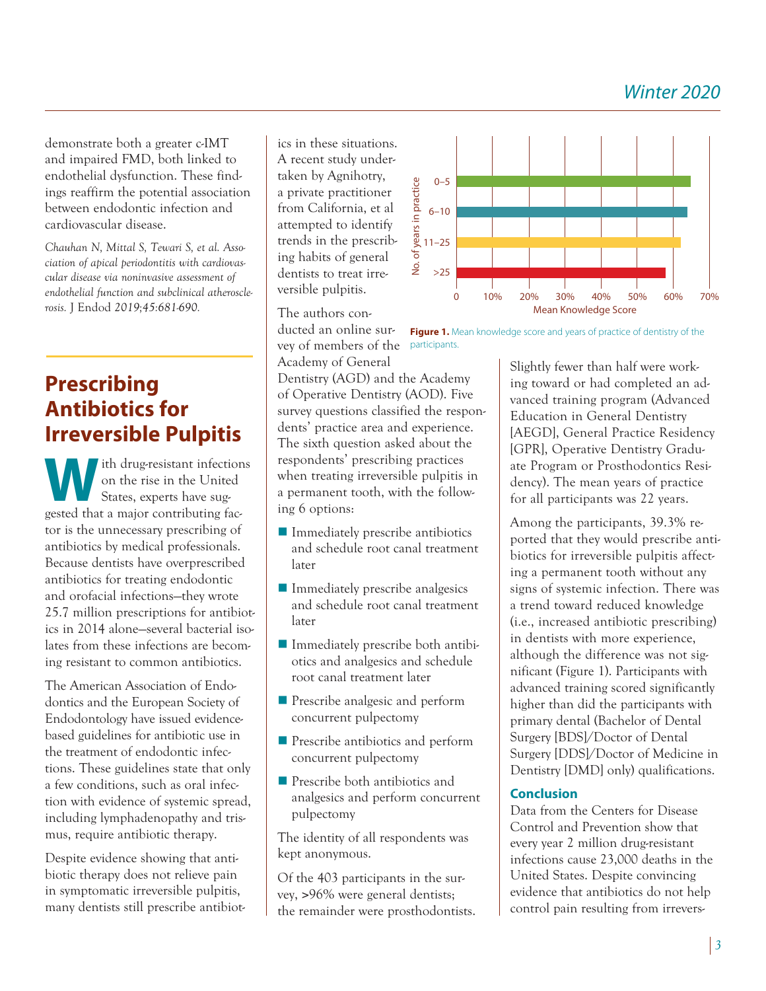*Winter 2020*

demonstrate both a greater c-IMT and impaired FMD, both linked to endothelial dysfunction. These findings reaffirm the potential association between endodontic infection and cardiovascular disease.

*Chauhan N, Mittal S, Tewari S, et al. Association of apical periodontitis with cardiovascular disease via noninvasive assessment of endothelial function and subclinical atherosclerosis.* J Endod *2019;45:681-690.*

# **Prescribing Antibiotics for Irreversible Pulpitis**

We ith drug-resistant infections<br>
on the rise in the United<br>
States, experts have sug-<br> **States**, experts have sugon the rise in the United gested that a major contributing factor is the unnecessary prescribing of antibiotics by medical professionals. Because dentists have overprescribed antibiotics for treating endodontic and orofacial infections—they wrote 25.7 million prescriptions for antibiotics in 2014 alone—several bacterial isolates from these infections are becoming resistant to common antibiotics.

The American Association of Endodontics and the European Society of Endodontology have issued evidencebased guidelines for antibiotic use in the treatment of endodontic infections. These guidelines state that only a few conditions, such as oral infection with evidence of systemic spread, including lymphadenopathy and trismus, require antibiotic therapy.

Despite evidence showing that antibiotic therapy does not relieve pain in symptomatic irreversible pulpitis, many dentists still prescribe antibiot-

ics in these situations. A recent study undertaken by Agnihotry, a private practitioner from California, et al attempted to identify trends in the prescribing habits of general dentists to treat irreversible pulpitis.

The authors conducted an online survey of members of the participants. Academy of General

Dentistry (AGD) and the Academy of Operative Dentistry (AOD). Five survey questions classified the respondents' practice area and experience. The sixth question asked about the respondents' prescribing practices when treating irreversible pulpitis in a permanent tooth, with the following 6 options:

- $\blacksquare$  Immediately prescribe antibiotics and schedule root canal treatment later
- $\blacksquare$  Immediately prescribe analgesics and schedule root canal treatment later
- $\blacksquare$  Immediately prescribe both antibiotics and analgesics and schedule root canal treatment later
- **n** Prescribe analgesic and perform concurrent pulpectomy
- **n** Prescribe antibiotics and perform concurrent pulpectomy
- **n** Prescribe both antibiotics and analgesics and perform concurrent pulpectomy

The identity of all respondents was kept anonymous.

Of the 403 participants in the survey, >96% were general dentists; the remainder were prosthodontists.



**Figure 1.** Mean knowledge score and years of practice of dentistry of the

Slightly fewer than half were working toward or had completed an advanced training program (Advanced Education in General Dentistry [AEGD], General Practice Residency [GPR], Operative Dentistry Graduate Program or Prosthodontics Residency). The mean years of practice for all participants was 22 years.

Among the participants, 39.3% re ported that they would prescribe antibiotics for irreversible pulpitis affecting a permanent tooth without any signs of systemic infection. There was a trend toward reduced knowledge (i.e., increased antibiotic prescribing) in dentists with more experience, although the difference was not significant (Figure 1). Participants with advanced training scored significantly higher than did the participants with primary dental (Bachelor of Dental Surgery [BDS]/Doctor of Dental Surgery [DDS]/Doctor of Medicine in Dentistry [DMD] only) qualifications.

## **Conclusion**

Data from the Centers for Disease Control and Prevention show that every year 2 million drug-resistant infections cause 23,000 deaths in the United States. Despite convincing evidence that antibiotics do not help control pain resulting from irrevers-